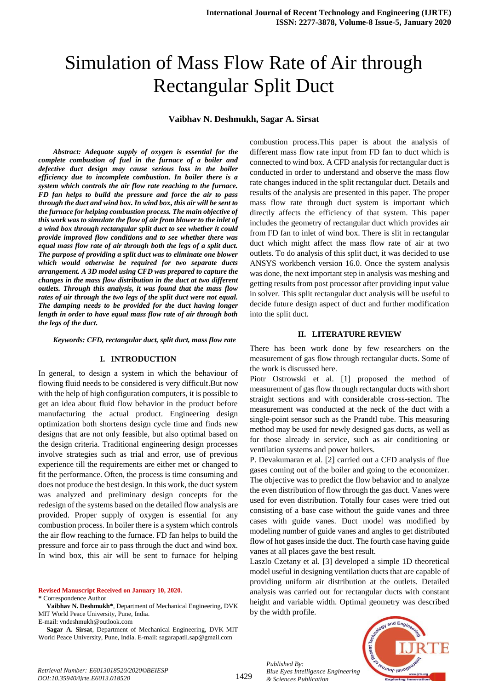# Simulation of Mass Flow Rate of Air through Rectangular Split Duct

#### **Vaibhav N. Deshmukh, Sagar A. Sirsat**

*Abstract: Adequate supply of oxygen is essential for the complete combustion of fuel in the furnace of a boiler and defective duct design may cause serious loss in the boiler efficiency due to incomplete combustion. In boiler there is a system which controls the air flow rate reaching to the furnace. FD fan helps to build the pressure and force the air to pass through the duct and wind box. In wind box, this air will be sent to the furnace for helping combustion process. The main objective of this work was to simulate the flow of air from blower to the inlet of a wind box through rectangular split duct to see whether it could provide improved flow conditions and to see whether there was equal mass flow rate of air through both the legs of a split duct. The purpose of providing a split duct was to eliminate one blower which would otherwise be required for two separate ducts arrangement. A 3D model using CFD was prepared to capture the changes in the mass flow distribution in the duct at two different outlets. Through this analysis, it was found that the mass flow rates of air through the two legs of the split duct were not equal. The damping needs to be provided for the duct having longer length in order to have equal mass flow rate of air through both the legs of the duct.*

*Keywords: CFD, rectangular duct, split duct, mass flow rate*

#### **I. INTRODUCTION**

In general, to design a system in which the behaviour of flowing fluid needs to be considered is very difficult.But now with the help of high configuration computers, it is possible to get an idea about fluid flow behavior in the product before manufacturing the actual product. Engineering design optimization both shortens design cycle time and finds new designs that are not only feasible, but also optimal based on the design criteria. Traditional engineering design processes involve strategies such as trial and error, use of previous experience till the requirements are either met or changed to fit the performance. Often, the process is time consuming and does not produce the best design. In this work, the duct system was analyzed and preliminary design concepts for the redesign of the systems based on the detailed flow analysis are provided. Proper supply of oxygen is essential for any combustion process. In boiler there is a system which controls the air flow reaching to the furnace. FD fan helps to build the pressure and force air to pass through the duct and wind box. In wind box, this air will be sent to furnace for helping

**Revised Manuscript Received on January 10, 2020. \*** Correspondence Author

**Vaibhav N. Deshmukh\***, Department of Mechanical Engineering, DVK MIT World Peace University, Pune, India. E-mail: vndeshmukh@outlook.com

**Sagar A. Sirsat**, Department of Mechanical Engineering, DVK MIT World Peace University, Pune, India. E-mail: sagarapatil.sap@gmail.com

combustion process.This paper is about the analysis of different mass flow rate input from FD fan to duct which is connected to wind box. A CFD analysis for rectangular duct is conducted in order to understand and observe the mass flow rate changes induced in the split rectangular duct. Details and results of the analysis are presented in this paper. The proper mass flow rate through duct system is important which directly affects the efficiency of that system. This paper includes the geometry of rectangular duct which provides air from FD fan to inlet of wind box. There is slit in rectangular duct which might affect the mass flow rate of air at two outlets. To do analysis of this split duct, it was decided to use ANSYS workbench version 16.0. Once the system analysis was done, the next important step in analysis was meshing and getting results from post processor after providing input value in solver. This split rectangular duct analysis will be useful to decide future design aspect of duct and further modification into the split duct.

#### **II. LITERATURE REVIEW**

There has been work done by few researchers on the measurement of gas flow through rectangular ducts. Some of the work is discussed here.

Piotr Ostrowski et al. [1] proposed the method of measurement of gas flow through rectangular ducts with short straight sections and with considerable cross-section. The measurement was conducted at the neck of the duct with a single-point sensor such as the Prandtl tube. This measuring method may be used for newly designed gas ducts, as well as for those already in service, such as air conditioning or ventilation systems and power boilers.

P. Devakumaran et al. [2] carried out a CFD analysis of flue gases coming out of the boiler and going to the economizer. The objective was to predict the flow behavior and to analyze the even distribution of flow through the gas duct. Vanes were used for even distribution. Totally four cases were tried out consisting of a base case without the guide vanes and three cases with guide vanes. Duct model was modified by modeling number of guide vanes and angles to get distributed flow of hot gases inside the duct. The fourth case having guide vanes at all places gave the best result.

Laszlo Czetany et al. [3] developed a simple 1D theoretical model useful in designing ventilation ducts that are capable of providing uniform air distribution at the outlets. Detailed analysis was carried out for rectangular ducts with constant height and variable width. Optimal geometry was described by the width profile.



*Published By:*

*& Sciences Publication* 

*Blue Eyes Intelligence Engineering*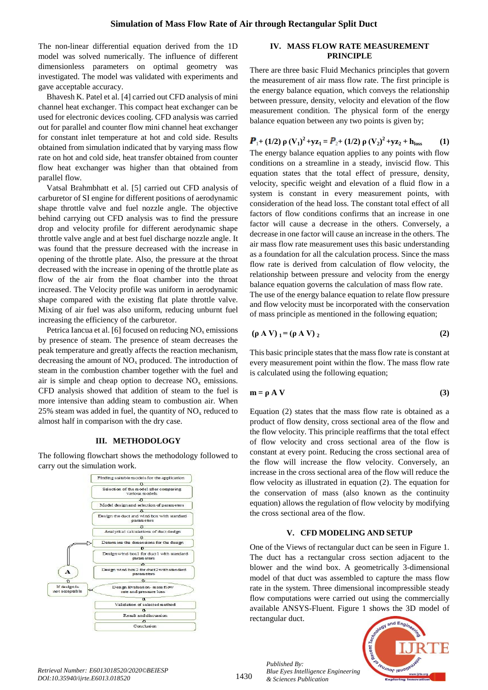The non-linear differential equation derived from the 1D model was solved numerically. The influence of different dimensionless parameters on optimal geometry was investigated. The model was validated with experiments and gave acceptable accuracy.

Bhavesh K. Patel et al. [4] carried out CFD analysis of mini channel heat exchanger. This compact heat exchanger can be used for electronic devices cooling. CFD analysis was carried out for parallel and counter flow mini channel heat exchanger for constant inlet temperature at hot and cold side. Results obtained from simulation indicated that by varying mass flow rate on hot and cold side, heat transfer obtained from counter flow heat exchanger was higher than that obtained from parallel flow.

Vatsal Brahmbhatt et al. [5] carried out CFD analysis of carburetor of SI engine for different positions of aerodynamic shape throttle valve and fuel nozzle angle. The objective behind carrying out CFD analysis was to find the pressure drop and velocity profile for different aerodynamic shape throttle valve angle and at best fuel discharge nozzle angle. It was found that the pressure decreased with the increase in opening of the throttle plate. Also, the pressure at the throat decreased with the increase in opening of the throttle plate as flow of the air from the float chamber into the throat increased. The Velocity profile was uniform in aerodynamic shape compared with the existing flat plate throttle valve. Mixing of air fuel was also uniform, reducing unburnt fuel increasing the efficiency of the carburetor.

Petrica Iancua et al. [6] focused on reducing  $NO<sub>x</sub>$  emissions by presence of steam. The presence of steam decreases the peak temperature and greatly affects the reaction mechanism, decreasing the amount of  $NO<sub>x</sub>$  produced. The introduction of steam in the combustion chamber together with the fuel and air is simple and cheap option to decrease  $NO<sub>x</sub>$  emissions. CFD analysis showed that addition of steam to the fuel is more intensive than adding steam to combustion air. When 25% steam was added in fuel, the quantity of  $NO<sub>x</sub>$  reduced to almost half in comparison with the dry case.

#### **III. METHODOLOGY**

The following flowchart shows the methodology followed to carry out the simulation work.



#### **IV. MASS FLOW RATE MEASUREMENT PRINCIPLE**

There are three basic Fluid Mechanics principles that govern the measurement of air mass flow rate. The first principle is the energy balance equation, which conveys the relationship between pressure, density, velocity and elevation of the flow measurement condition. The physical form of the energy balance equation between any two points is given by;

# **11(1/2) ρ**  $(V_1)^2 + yz_1 = P_2 + (1/2)$  **ρ**  $(V_2)^2 + yz_2 + h_{loss}$  (1)

The energy balance equation applies to any points with flow conditions on a streamline in a steady, inviscid flow. This equation states that the total effect of pressure, density, velocity, specific weight and elevation of a fluid flow in a system is constant in every measurement points, with consideration of the head loss. The constant total effect of all factors of flow conditions confirms that an increase in one factor will cause a decrease in the others. Conversely, a decrease in one factor will cause an increase in the others. The air mass flow rate measurement uses this basic understanding as a foundation for all the calculation process. Since the mass flow rate is derived from calculation of flow velocity, the relationship between pressure and velocity from the energy balance equation governs the calculation of mass flow rate. The use of the energy balance equation to relate flow pressure and flow velocity must be incorporated with the conservation of mass principle as mentioned in the following equation;

$$
(\rho \mathbf{A} \mathbf{V})_1 = (\rho \mathbf{A} \mathbf{V})_2 \tag{2}
$$

This basic principle states that the mass flow rate is constant at every measurement point within the flow. The mass flow rate is calculated using the following equation;

$$
m = \rho A V \tag{3}
$$

Equation (2) states that the mass flow rate is obtained as a product of flow density, cross sectional area of the flow and the flow velocity. This principle reaffirms that the total effect of flow velocity and cross sectional area of the flow is constant at every point. Reducing the cross sectional area of the flow will increase the flow velocity. Conversely, an increase in the cross sectional area of the flow will reduce the flow velocity as illustrated in equation (2). The equation for the conservation of mass (also known as the continuity equation) allows the regulation of flow velocity by modifying the cross sectional area of the flow.

#### **V. CFD MODELING AND SETUP**

One of the Views of rectangular duct can be seen in Figure 1. The duct has a rectangular cross section adjacent to the blower and the wind box. A geometrically 3-dimensional model of that duct was assembled to capture the mass flow rate in the system. Three dimensional incompressible steady flow computations were carried out using the commercially available ANSYS-Fluent. Figure 1 shows the 3D model of rectangular duct.



*Published By:*

*& Sciences Publication* 

*Blue Eyes Intelligence Engineering*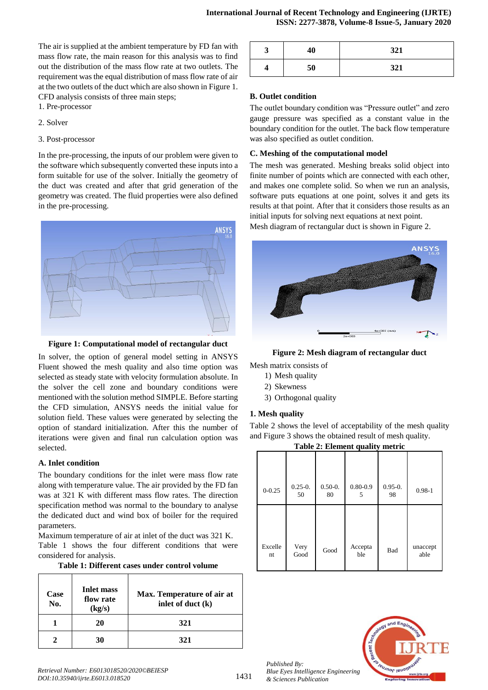The air is supplied at the ambient temperature by FD fan with mass flow rate, the main reason for this analysis was to find out the distribution of the mass flow rate at two outlets. The requirement was the equal distribution of mass flow rate of air at the two outlets of the duct which are also shown in Figure 1. CFD analysis consists of three main steps;

- 1. Pre-processor
- 2. Solver

#### 3. Post-processor

In the pre-processing, the inputs of our problem were given to the software which subsequently converted these inputs into a form suitable for use of the solver. Initially the geometry of the duct was created and after that grid generation of the geometry was created. The fluid properties were also defined in the pre-processing.



**Figure 1: Computational model of rectangular duct**

In solver, the option of general model setting in ANSYS Fluent showed the mesh quality and also time option was selected as steady state with velocity formulation absolute. In the solver the cell zone and boundary conditions were mentioned with the solution method SIMPLE. Before starting the CFD simulation, ANSYS needs the initial value for solution field. These values were generated by selecting the option of standard initialization. After this the number of iterations were given and final run calculation option was selected.

#### **A. Inlet condition**

The boundary conditions for the inlet were mass flow rate along with temperature value. The air provided by the FD fan was at 321 K with different mass flow rates. The direction specification method was normal to the boundary to analyse the dedicated duct and wind box of boiler for the required parameters.

Maximum temperature of air at inlet of the duct was 321 K. Table 1 shows the four different conditions that were considered for analysis.

| Table 1: Different cases under control volume |  |  |  |  |
|-----------------------------------------------|--|--|--|--|
|-----------------------------------------------|--|--|--|--|

| Case<br>No. | <b>Inlet mass</b><br>flow rate<br>(kg/s) | Max. Temperature of air at<br>inlet of duct (k) |
|-------------|------------------------------------------|-------------------------------------------------|
|             | 20                                       | 321                                             |
|             | 30                                       | 321                                             |

| د. | 40 | 321 |
|----|----|-----|
| T  | 50 | 321 |

#### **B. Outlet condition**

The outlet boundary condition was "Pressure outlet" and zero gauge pressure was specified as a constant value in the boundary condition for the outlet. The back flow temperature was also specified as outlet condition.

#### **C. Meshing of the computational model**

The mesh was generated. Meshing breaks solid object into finite number of points which are connected with each other, and makes one complete solid. So when we run an analysis, software puts equations at one point, solves it and gets its results at that point. After that it considers those results as an initial inputs for solving next equations at next point.

Mesh diagram of rectangular duct is shown in Figure 2.



**Figure 2: Mesh diagram of rectangular duct**

Mesh matrix consists of

- 1) Mesh quality
- 2) Skewness
- 3) Orthogonal quality

#### **1. Mesh quality**

Table 2 shows the level of acceptability of the mesh quality and Figure 3 shows the obtained result of mesh quality.

|  | Table 2: Element quality metric |  |  |
|--|---------------------------------|--|--|
|--|---------------------------------|--|--|

| $0 - 0.25$    | $0.25 - 0.$<br>50 | $0.50 - 0.$<br>80 | $0.80 - 0.9$<br>5 | $0.95 - 0.$<br>98 | $0.98 - 1$       |
|---------------|-------------------|-------------------|-------------------|-------------------|------------------|
| Excelle<br>nt | Very<br>Good      | Good              | Accepta<br>ble    | Bad               | unaccept<br>able |



*Published By: Blue Eyes Intelligence Engineering & Sciences Publication*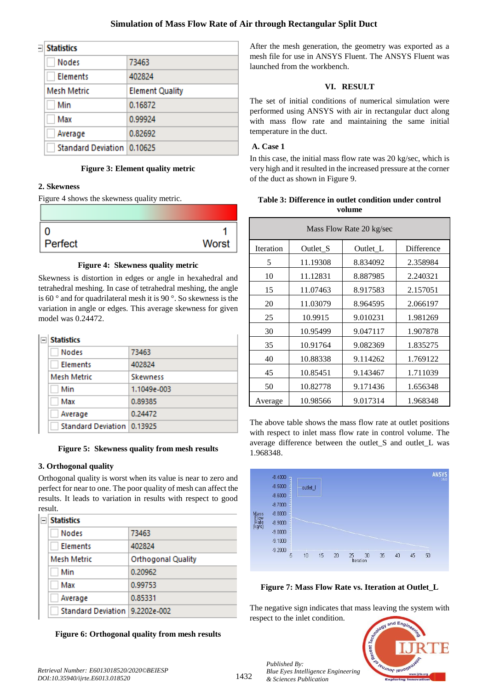#### **Simulation of Mass Flow Rate of Air through Rectangular Split Duct**

| Statistics                   |                        |  |
|------------------------------|------------------------|--|
| <b>Nodes</b>                 | 73463                  |  |
| Elements                     | 402824                 |  |
| Mesh Metric                  | <b>Element Quality</b> |  |
| Min                          | 0.16872                |  |
| Max                          | 0.99924                |  |
| Average                      | 0.82692                |  |
| Standard Deviation   0.10625 |                        |  |

#### **Figure 3: Element quality metric**

#### **2. Skewness**

-1

Figure 4 shows the skewness quality metric.

| 0       |       |
|---------|-------|
| Perfect | Worst |

#### **Figure 4: Skewness quality metric**

Skewness is distortion in edges or angle in hexahedral and tetrahedral meshing. In case of tetrahedral meshing, the angle is 60 ° and for quadrilateral mesh it is 90 °. So skewness is the variation in angle or edges. This average skewness for given model was 0.24472.

| ⊟ | <b>Statistics</b>          |                 |  |
|---|----------------------------|-----------------|--|
|   | <b>Nodes</b>               | 73463           |  |
|   | Elements                   | 402824          |  |
|   | <b>Mesh Metric</b>         | <b>Skewness</b> |  |
|   | Min                        | 1.1049e-003     |  |
|   | Max                        | 0.89385         |  |
|   | Average                    | 0.24472         |  |
|   | Standard Deviation 0.13925 |                 |  |

**Figure 5: Skewness quality from mesh results**

#### **3. Orthogonal quality**

Orthogonal quality is worst when its value is near to zero and perfect for near to one. The poor quality of mesh can affect the results. It leads to variation in results with respect to good result.

| <b>Statistics</b>                |                           |  |
|----------------------------------|---------------------------|--|
| <b>Nodes</b>                     | 73463                     |  |
| <b>Elements</b>                  | 402824                    |  |
| Mesh Metric                      | <b>Orthogonal Quality</b> |  |
| Min                              | 0.20962                   |  |
| Max                              | 0.99753                   |  |
| Average                          | 0.85331                   |  |
| Standard Deviation   9.2202e-002 |                           |  |

**Figure 6: Orthogonal quality from mesh results**

After the mesh generation, the geometry was exported as a mesh file for use in ANSYS Fluent. The ANSYS Fluent was launched from the workbench.

#### **VI. RESULT**

The set of initial conditions of numerical simulation were performed using ANSYS with air in rectangular duct along with mass flow rate and maintaining the same initial temperature in the duct.

#### **A. Case 1**

In this case, the initial mass flow rate was 20 kg/sec, which is very high and it resulted in the increased pressure at the corner of the duct as shown in Figure 9.

#### **Table 3: Difference in outlet condition under control volume**

| Mass Flow Rate 20 kg/sec |          |          |            |  |
|--------------------------|----------|----------|------------|--|
| <b>Iteration</b>         | Outlet_S | Outlet_L | Difference |  |
| 5                        | 11.19308 | 8.834092 | 2.358984   |  |
| 10                       | 11.12831 | 8.887985 | 2.240321   |  |
| 15                       | 11.07463 | 8.917583 | 2.157051   |  |
| 20                       | 11.03079 | 8.964595 | 2.066197   |  |
| 25                       | 10.9915  | 9.010231 | 1.981269   |  |
| 30                       | 10.95499 | 9.047117 | 1.907878   |  |
| 35                       | 10.91764 | 9.082369 | 1.835275   |  |
| 40                       | 10.88338 | 9.114262 | 1.769122   |  |
| 45                       | 10.85451 | 9.143467 | 1.711039   |  |
| 50                       | 10.82778 | 9.171436 | 1.656348   |  |
| Average                  | 10.98566 | 9.017314 | 1.968348   |  |

The above table shows the mass flow rate at outlet positions with respect to inlet mass flow rate in control volume. The average difference between the outlet\_S and outlet\_L was 1.968348.



**Figure 7: Mass Flow Rate vs. Iteration at Outlet\_L**

The negative sign indicates that mass leaving the system with respect to the inlet condition.



*Published By:*

*& Sciences Publication* 

*Blue Eyes Intelligence Engineering*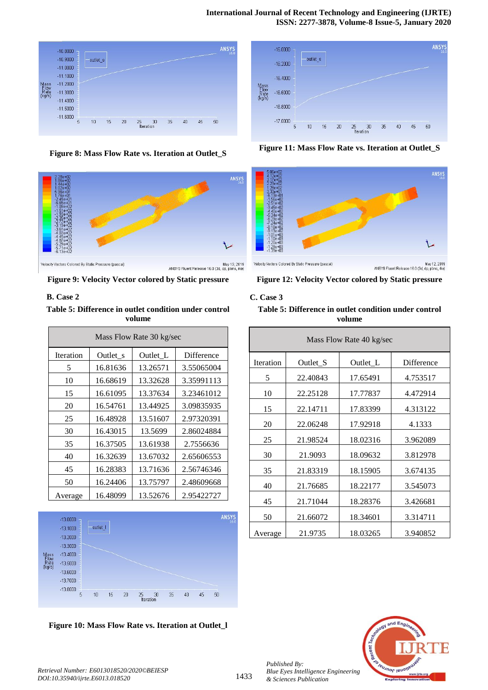

**Figure 8: Mass Flow Rate vs. Iteration at Outlet\_S**



#### **B. Case 2**

**Table 5: Difference in outlet condition under control volume**

| Mass Flow Rate 30 kg/sec |          |          |            |  |
|--------------------------|----------|----------|------------|--|
| <b>Iteration</b>         | Outlet s | Outlet_L | Difference |  |
| 5                        | 16.81636 | 13.26571 | 3.55065004 |  |
| 10                       | 16.68619 | 13.32628 | 3.35991113 |  |
| 15                       | 16.61095 | 13.37634 | 3.23461012 |  |
| 20                       | 16.54761 | 13.44925 | 3.09835935 |  |
| 25                       | 16.48928 | 13.51607 | 2.97320391 |  |
| 30                       | 16.43015 | 13.5699  | 2.86024884 |  |
| 35                       | 16.37505 | 13.61938 | 2.7556636  |  |
| 40                       | 16.32639 | 13.67032 | 2.65606553 |  |
| 45                       | 16.28383 | 13.71636 | 2.56746346 |  |
| 50                       | 16.24406 | 13.75797 | 2.48609668 |  |
| Average                  | 16.48099 | 13.52676 | 2.95422727 |  |



**Figure 10: Mass Flow Rate vs. Iteration at Outlet\_l**



**Figure 11: Mass Flow Rate vs. Iteration at Outlet\_S**



**Figure 12: Velocity Vector colored by Static pressure**

#### **C. Case 3**

**Table 5: Difference in outlet condition under control volume**

| Mass Flow Rate 40 kg/sec |          |          |            |  |
|--------------------------|----------|----------|------------|--|
| <b>Iteration</b>         | Outlet_S | Outlet_L | Difference |  |
| 5                        | 22.40843 | 17.65491 | 4.753517   |  |
| 10                       | 22.25128 | 17.77837 | 4.472914   |  |
| 15                       | 22.14711 | 17.83399 | 4.313122   |  |
| 20                       | 22.06248 | 17.92918 | 4.1333     |  |
| 25                       | 21.98524 | 18.02316 | 3.962089   |  |
| 30                       | 21.9093  | 18.09632 | 3.812978   |  |
| 35                       | 21.83319 | 18.15905 | 3.674135   |  |
| 40                       | 21.76685 | 18.22177 | 3.545073   |  |
| 45                       | 21.71044 | 18.28376 | 3.426681   |  |
| 50                       | 21.66072 | 18.34601 | 3.314711   |  |
| Average                  | 21.9735  | 18.03265 | 3.940852   |  |



*Published By:*

*& Sciences Publication*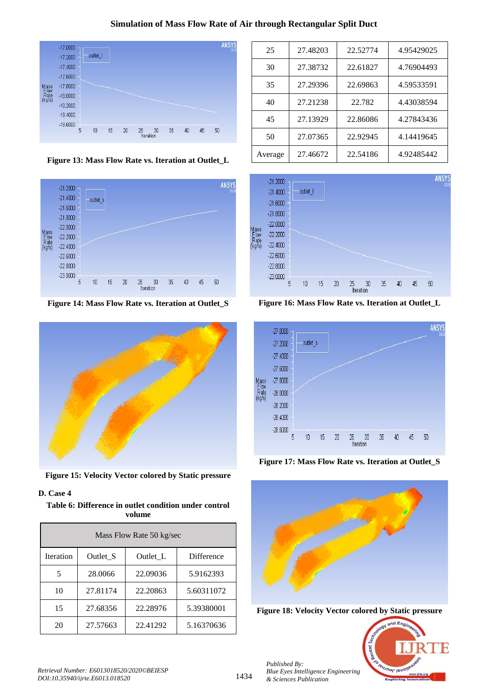### **Simulation of Mass Flow Rate of Air through Rectangular Split Duct**



**Figure 13: Mass Flow Rate vs. Iteration at Outlet\_L**



**Figure 14: Mass Flow Rate vs. Iteration at Outlet\_S**



**Figure 15: Velocity Vector colored by Static pressure**

## **D. Case 4**

**Table 6: Difference in outlet condition under control volume**

| Mass Flow Rate 50 kg/sec |          |          |                   |  |
|--------------------------|----------|----------|-------------------|--|
| <b>Iteration</b>         | Outlet S | Outlet L | <b>Difference</b> |  |
| 5                        | 28.0066  | 22.09036 | 5.9162393         |  |
| 10                       | 27.81174 | 22.20863 | 5.60311072        |  |
| 15                       | 27.68356 | 22.28976 | 5.39380001        |  |
| 20                       | 27.57663 | 22.41292 | 5.16370636        |  |

| 25      | 27.48203 | 22.52774 | 4.95429025 |
|---------|----------|----------|------------|
| 30      | 27.38732 | 22.61827 | 4.76904493 |
| 35      | 27.29396 | 22.69863 | 4.59533591 |
| 40      | 27.21238 | 22.782   | 4.43038594 |
| 45      | 27.13929 | 22.86086 | 4.27843436 |
| 50      | 27.07365 | 22.92945 | 4.14419645 |
| Average | 27.46672 | 22.54186 | 4.92485442 |



**Figure 16: Mass Flow Rate vs. Iteration at Outlet\_L**



**Figure 17: Mass Flow Rate vs. Iteration at Outlet\_S**



**Figure 18: Velocity Vector colored by Static pressure**